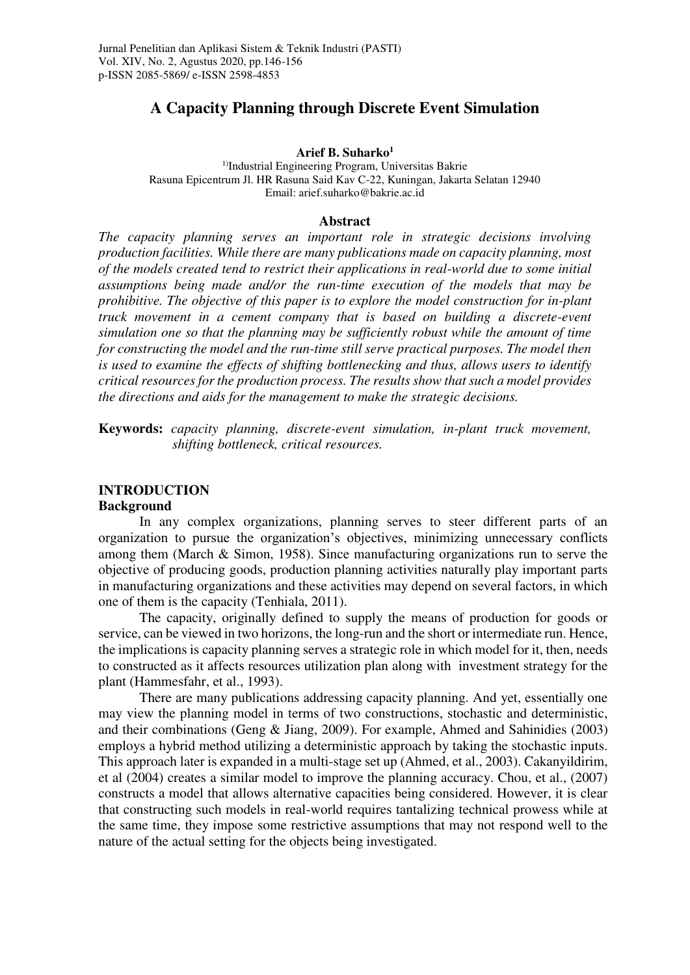# **A Capacity Planning through Discrete Event Simulation**

#### **Arief B. Suharko<sup>1</sup>**

<sup>1)</sup>Industrial Engineering Program, Universitas Bakrie Rasuna Epicentrum Jl. HR Rasuna Said Kav C-22, Kuningan, Jakarta Selatan 12940 Email: arief.suharko@bakrie.ac.id

### **Abstract**

*The capacity planning serves an important role in strategic decisions involving production facilities. While there are many publications made on capacity planning, most of the models created tend to restrict their applications in real-world due to some initial assumptions being made and/or the run-time execution of the models that may be prohibitive. The objective of this paper is to explore the model construction for in-plant truck movement in a cement company that is based on building a discrete-event simulation one so that the planning may be sufficiently robust while the amount of time for constructing the model and the run-time still serve practical purposes. The model then is used to examine the effects of shifting bottlenecking and thus, allows users to identify critical resources for the production process. The results show that such a model provides the directions and aids for the management to make the strategic decisions.*

**Keywords:** *capacity planning, discrete-event simulation, in-plant truck movement, shifting bottleneck, critical resources.*

# **INTRODUCTION**

### **Background**

In any complex organizations, planning serves to steer different parts of an organization to pursue the organization's objectives, minimizing unnecessary conflicts among them (March & Simon, 1958). Since manufacturing organizations run to serve the objective of producing goods, production planning activities naturally play important parts in manufacturing organizations and these activities may depend on several factors, in which one of them is the capacity (Tenhiala, 2011).

The capacity, originally defined to supply the means of production for goods or service, can be viewed in two horizons, the long-run and the short or intermediate run. Hence, the implications is capacity planning serves a strategic role in which model for it, then, needs to constructed as it affects resources utilization plan along with investment strategy for the plant (Hammesfahr, et al., 1993).

There are many publications addressing capacity planning. And yet, essentially one may view the planning model in terms of two constructions, stochastic and deterministic, and their combinations (Geng & Jiang, 2009). For example, Ahmed and Sahinidies (2003) employs a hybrid method utilizing a deterministic approach by taking the stochastic inputs. This approach later is expanded in a multi-stage set up (Ahmed, et al., 2003). Cakanyildirim, et al (2004) creates a similar model to improve the planning accuracy. Chou, et al., (2007) constructs a model that allows alternative capacities being considered. However, it is clear that constructing such models in real-world requires tantalizing technical prowess while at the same time, they impose some restrictive assumptions that may not respond well to the nature of the actual setting for the objects being investigated.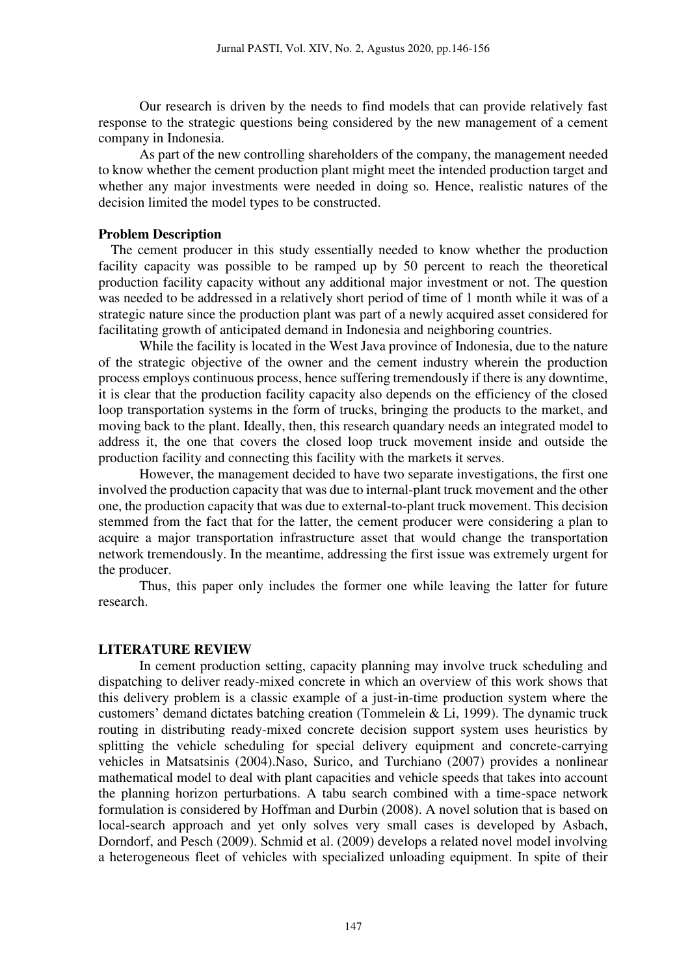Our research is driven by the needs to find models that can provide relatively fast response to the strategic questions being considered by the new management of a cement company in Indonesia.

As part of the new controlling shareholders of the company, the management needed to know whether the cement production plant might meet the intended production target and whether any major investments were needed in doing so. Hence, realistic natures of the decision limited the model types to be constructed.

### **Problem Description**

The cement producer in this study essentially needed to know whether the production facility capacity was possible to be ramped up by 50 percent to reach the theoretical production facility capacity without any additional major investment or not. The question was needed to be addressed in a relatively short period of time of 1 month while it was of a strategic nature since the production plant was part of a newly acquired asset considered for facilitating growth of anticipated demand in Indonesia and neighboring countries.

While the facility is located in the West Java province of Indonesia, due to the nature of the strategic objective of the owner and the cement industry wherein the production process employs continuous process, hence suffering tremendously if there is any downtime, it is clear that the production facility capacity also depends on the efficiency of the closed loop transportation systems in the form of trucks, bringing the products to the market, and moving back to the plant. Ideally, then, this research quandary needs an integrated model to address it, the one that covers the closed loop truck movement inside and outside the production facility and connecting this facility with the markets it serves.

However, the management decided to have two separate investigations, the first one involved the production capacity that was due to internal-plant truck movement and the other one, the production capacity that was due to external-to-plant truck movement. This decision stemmed from the fact that for the latter, the cement producer were considering a plan to acquire a major transportation infrastructure asset that would change the transportation network tremendously. In the meantime, addressing the first issue was extremely urgent for the producer.

Thus, this paper only includes the former one while leaving the latter for future research.

## **LITERATURE REVIEW**

In cement production setting, capacity planning may involve truck scheduling and dispatching to deliver ready-mixed concrete in which an overview of this work shows that this delivery problem is a classic example of a just-in-time production system where the customers' demand dictates batching creation (Tommelein & Li, 1999). The dynamic truck routing in distributing ready-mixed concrete decision support system uses heuristics by splitting the vehicle scheduling for special delivery equipment and concrete-carrying vehicles in Matsatsinis (2004).Naso, Surico, and Turchiano (2007) provides a nonlinear mathematical model to deal with plant capacities and vehicle speeds that takes into account the planning horizon perturbations. A tabu search combined with a time-space network formulation is considered by Hoffman and Durbin (2008). A novel solution that is based on local-search approach and yet only solves very small cases is developed by Asbach, Dorndorf, and Pesch (2009). Schmid et al. (2009) develops a related novel model involving a heterogeneous fleet of vehicles with specialized unloading equipment. In spite of their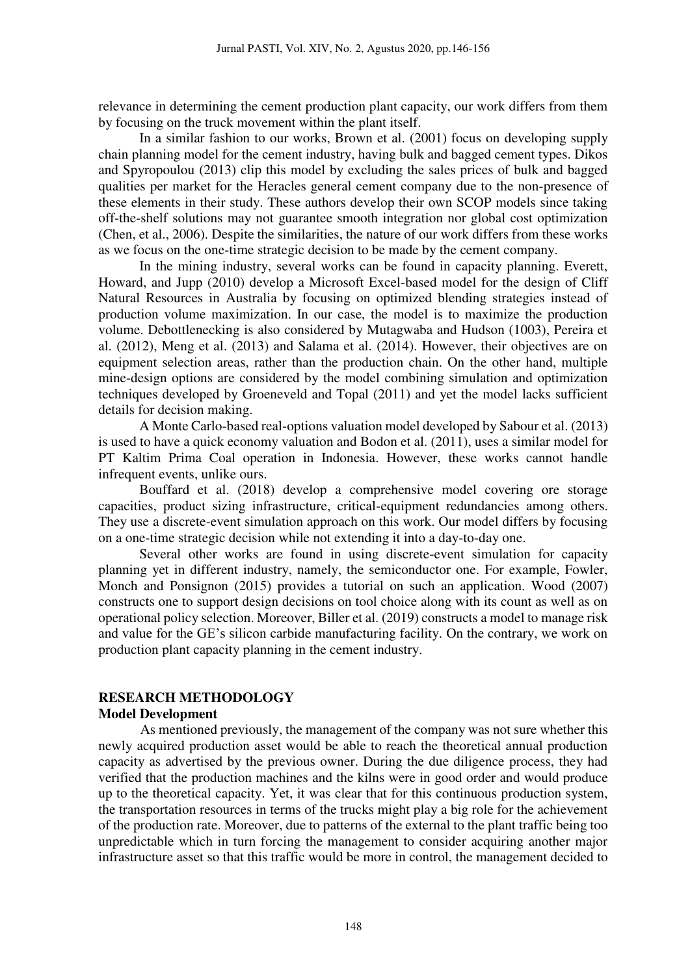relevance in determining the cement production plant capacity, our work differs from them by focusing on the truck movement within the plant itself.

In a similar fashion to our works, Brown et al. (2001) focus on developing supply chain planning model for the cement industry, having bulk and bagged cement types. Dikos and Spyropoulou (2013) clip this model by excluding the sales prices of bulk and bagged qualities per market for the Heracles general cement company due to the non-presence of these elements in their study. These authors develop their own SCOP models since taking off-the-shelf solutions may not guarantee smooth integration nor global cost optimization (Chen, et al., 2006). Despite the similarities, the nature of our work differs from these works as we focus on the one-time strategic decision to be made by the cement company.

In the mining industry, several works can be found in capacity planning. Everett, Howard, and Jupp (2010) develop a Microsoft Excel-based model for the design of Cliff Natural Resources in Australia by focusing on optimized blending strategies instead of production volume maximization. In our case, the model is to maximize the production volume. Debottlenecking is also considered by Mutagwaba and Hudson (1003), Pereira et al. (2012), Meng et al. (2013) and Salama et al. (2014). However, their objectives are on equipment selection areas, rather than the production chain. On the other hand, multiple mine-design options are considered by the model combining simulation and optimization techniques developed by Groeneveld and Topal (2011) and yet the model lacks sufficient details for decision making.

A Monte Carlo-based real-options valuation model developed by Sabour et al. (2013) is used to have a quick economy valuation and Bodon et al. (2011), uses a similar model for PT Kaltim Prima Coal operation in Indonesia. However, these works cannot handle infrequent events, unlike ours.

Bouffard et al. (2018) develop a comprehensive model covering ore storage capacities, product sizing infrastructure, critical-equipment redundancies among others. They use a discrete-event simulation approach on this work. Our model differs by focusing on a one-time strategic decision while not extending it into a day-to-day one.

Several other works are found in using discrete-event simulation for capacity planning yet in different industry, namely, the semiconductor one. For example, Fowler, Monch and Ponsignon (2015) provides a tutorial on such an application. Wood (2007) constructs one to support design decisions on tool choice along with its count as well as on operational policy selection. Moreover, Biller et al. (2019) constructs a model to manage risk and value for the GE's silicon carbide manufacturing facility. On the contrary, we work on production plant capacity planning in the cement industry.

# **RESEARCH METHODOLOGY Model Development**

As mentioned previously, the management of the company was not sure whether this newly acquired production asset would be able to reach the theoretical annual production capacity as advertised by the previous owner. During the due diligence process, they had verified that the production machines and the kilns were in good order and would produce up to the theoretical capacity. Yet, it was clear that for this continuous production system, the transportation resources in terms of the trucks might play a big role for the achievement of the production rate. Moreover, due to patterns of the external to the plant traffic being too unpredictable which in turn forcing the management to consider acquiring another major infrastructure asset so that this traffic would be more in control, the management decided to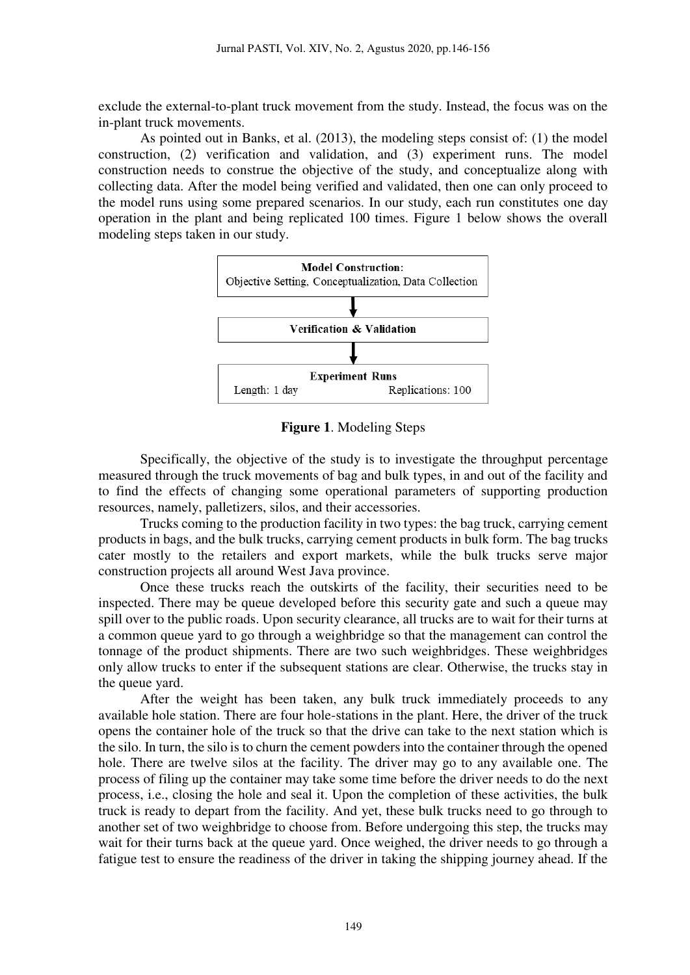exclude the external-to-plant truck movement from the study. Instead, the focus was on the in-plant truck movements.

As pointed out in Banks, et al. (2013), the modeling steps consist of: (1) the model construction, (2) verification and validation, and (3) experiment runs. The model construction needs to construe the objective of the study, and conceptualize along with collecting data. After the model being verified and validated, then one can only proceed to the model runs using some prepared scenarios. In our study, each run constitutes one day operation in the plant and being replicated 100 times. Figure 1 below shows the overall modeling steps taken in our study.



**Figure 1**. Modeling Steps

Specifically, the objective of the study is to investigate the throughput percentage measured through the truck movements of bag and bulk types, in and out of the facility and to find the effects of changing some operational parameters of supporting production resources, namely, palletizers, silos, and their accessories.

Trucks coming to the production facility in two types: the bag truck, carrying cement products in bags, and the bulk trucks, carrying cement products in bulk form. The bag trucks cater mostly to the retailers and export markets, while the bulk trucks serve major construction projects all around West Java province.

Once these trucks reach the outskirts of the facility, their securities need to be inspected. There may be queue developed before this security gate and such a queue may spill over to the public roads. Upon security clearance, all trucks are to wait for their turns at a common queue yard to go through a weighbridge so that the management can control the tonnage of the product shipments. There are two such weighbridges. These weighbridges only allow trucks to enter if the subsequent stations are clear. Otherwise, the trucks stay in the queue yard.

After the weight has been taken, any bulk truck immediately proceeds to any available hole station. There are four hole-stations in the plant. Here, the driver of the truck opens the container hole of the truck so that the drive can take to the next station which is the silo. In turn, the silo is to churn the cement powders into the container through the opened hole. There are twelve silos at the facility. The driver may go to any available one. The process of filing up the container may take some time before the driver needs to do the next process, i.e., closing the hole and seal it. Upon the completion of these activities, the bulk truck is ready to depart from the facility. And yet, these bulk trucks need to go through to another set of two weighbridge to choose from. Before undergoing this step, the trucks may wait for their turns back at the queue yard. Once weighed, the driver needs to go through a fatigue test to ensure the readiness of the driver in taking the shipping journey ahead. If the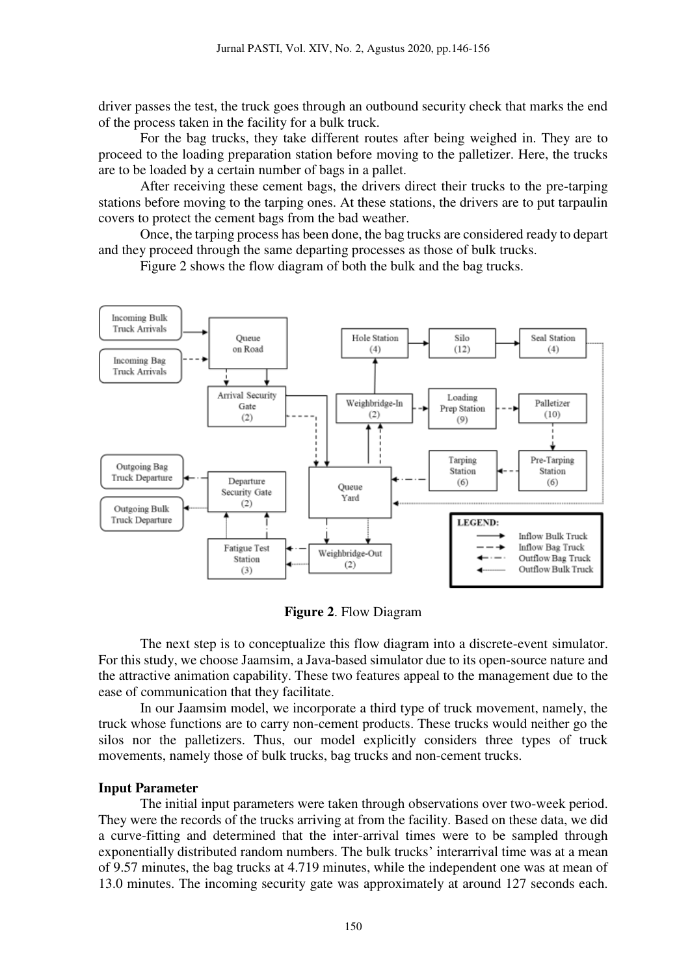driver passes the test, the truck goes through an outbound security check that marks the end of the process taken in the facility for a bulk truck.

For the bag trucks, they take different routes after being weighed in. They are to proceed to the loading preparation station before moving to the palletizer. Here, the trucks are to be loaded by a certain number of bags in a pallet.

After receiving these cement bags, the drivers direct their trucks to the pre-tarping stations before moving to the tarping ones. At these stations, the drivers are to put tarpaulin covers to protect the cement bags from the bad weather.

Once, the tarping process has been done, the bag trucks are considered ready to depart and they proceed through the same departing processes as those of bulk trucks.

Figure 2 shows the flow diagram of both the bulk and the bag trucks.



**Figure 2**. Flow Diagram

The next step is to conceptualize this flow diagram into a discrete-event simulator. For this study, we choose Jaamsim, a Java-based simulator due to its open-source nature and the attractive animation capability. These two features appeal to the management due to the ease of communication that they facilitate.

 In our Jaamsim model, we incorporate a third type of truck movement, namely, the truck whose functions are to carry non-cement products. These trucks would neither go the silos nor the palletizers. Thus, our model explicitly considers three types of truck movements, namely those of bulk trucks, bag trucks and non-cement trucks.

### **Input Parameter**

The initial input parameters were taken through observations over two-week period. They were the records of the trucks arriving at from the facility. Based on these data, we did a curve-fitting and determined that the inter-arrival times were to be sampled through exponentially distributed random numbers. The bulk trucks' interarrival time was at a mean of 9.57 minutes, the bag trucks at 4.719 minutes, while the independent one was at mean of 13.0 minutes. The incoming security gate was approximately at around 127 seconds each.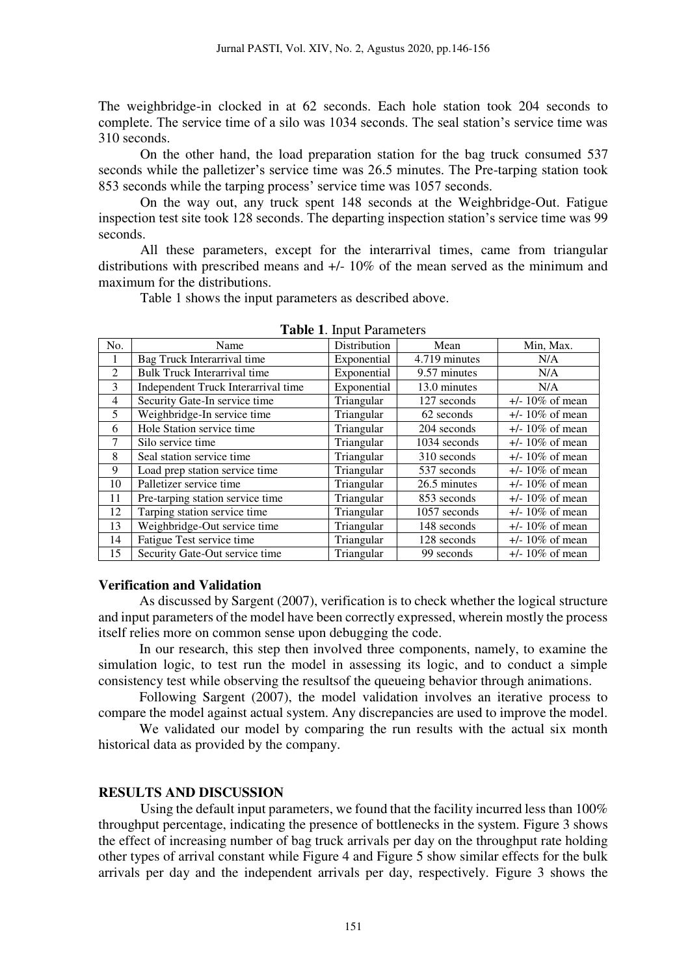The weighbridge-in clocked in at 62 seconds. Each hole station took 204 seconds to complete. The service time of a silo was 1034 seconds. The seal station's service time was 310 seconds.

On the other hand, the load preparation station for the bag truck consumed 537 seconds while the palletizer's service time was 26.5 minutes. The Pre-tarping station took 853 seconds while the tarping process' service time was 1057 seconds.

 On the way out, any truck spent 148 seconds at the Weighbridge-Out. Fatigue inspection test site took 128 seconds. The departing inspection station's service time was 99 seconds.

 All these parameters, except for the interarrival times, came from triangular distributions with prescribed means and +/- 10% of the mean served as the minimum and maximum for the distributions.

Table 1 shows the input parameters as described above.

| No.            | Name                                | Distribution | Mean          | Min, Max.          |
|----------------|-------------------------------------|--------------|---------------|--------------------|
| $\mathbf{I}$   | Bag Truck Interarrival time         | Exponential  | 4.719 minutes | N/A                |
| 2              | <b>Bulk Truck Interarrival time</b> | Exponential  | 9.57 minutes  | N/A                |
| 3              | Independent Truck Interarrival time | Exponential  | 13.0 minutes  | N/A                |
| $\overline{4}$ | Security Gate-In service time       | Triangular   | 127 seconds   | $+/- 10\%$ of mean |
| 5              | Weighbridge-In service time         | Triangular   | 62 seconds    | $+/- 10\%$ of mean |
| 6              | Hole Station service time           | Triangular   | 204 seconds   | $+/- 10\%$ of mean |
| 7              | Silo service time                   | Triangular   | 1034 seconds  | $+/- 10\%$ of mean |
| 8              | Seal station service time           | Triangular   | 310 seconds   | $+/- 10\%$ of mean |
| 9              | Load prep station service time      | Triangular   | 537 seconds   | $+/- 10\%$ of mean |
| 10             | Palletizer service time             | Triangular   | 26.5 minutes  | $+/- 10\%$ of mean |
| 11             | Pre-tarping station service time    | Triangular   | 853 seconds   | $+/- 10\%$ of mean |
| 12             | Tarping station service time        | Triangular   | 1057 seconds  | $+/- 10\%$ of mean |
| 13             | Weighbridge-Out service time        | Triangular   | 148 seconds   | $+/- 10\%$ of mean |
| 14             | Fatigue Test service time           | Triangular   | 128 seconds   | $+/- 10\%$ of mean |
| 15             | Security Gate-Out service time      | Triangular   | 99 seconds    | $+/- 10\%$ of mean |

**Table 1**. Input Parameters

### **Verification and Validation**

As discussed by Sargent (2007), verification is to check whether the logical structure and input parameters of the model have been correctly expressed, wherein mostly the process itself relies more on common sense upon debugging the code.

In our research, this step then involved three components, namely, to examine the simulation logic, to test run the model in assessing its logic, and to conduct a simple consistency test while observing the resultsof the queueing behavior through animations.

Following Sargent (2007), the model validation involves an iterative process to compare the model against actual system. Any discrepancies are used to improve the model.

We validated our model by comparing the run results with the actual six month historical data as provided by the company.

## **RESULTS AND DISCUSSION**

Using the default input parameters, we found that the facility incurred less than 100% throughput percentage, indicating the presence of bottlenecks in the system. Figure 3 shows the effect of increasing number of bag truck arrivals per day on the throughput rate holding other types of arrival constant while Figure 4 and Figure 5 show similar effects for the bulk arrivals per day and the independent arrivals per day, respectively. Figure 3 shows the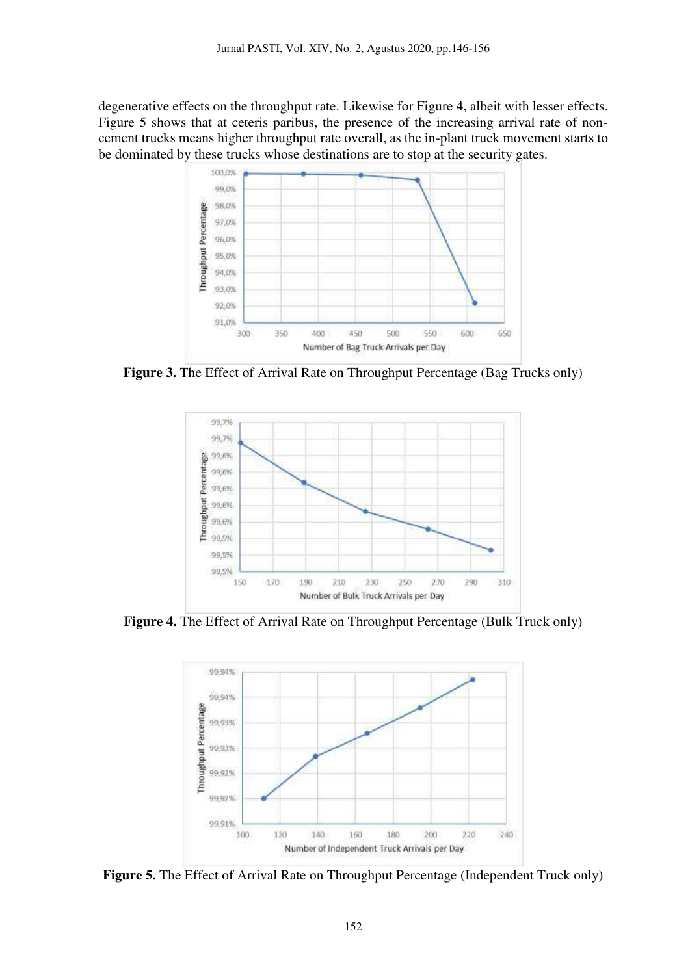degenerative effects on the throughput rate. Likewise for Figure 4, albeit with lesser effects. Figure 5 shows that at ceteris paribus, the presence of the increasing arrival rate of noncement trucks means higher throughput rate overall, as the in-plant truck movement starts to be dominated by these trucks whose destinations are to stop at the security gates.



**Figure 3.** The Effect of Arrival Rate on Throughput Percentage (Bag Trucks only)



**Figure 4.** The Effect of Arrival Rate on Throughput Percentage (Bulk Truck only)



**Figure 5.** The Effect of Arrival Rate on Throughput Percentage (Independent Truck only)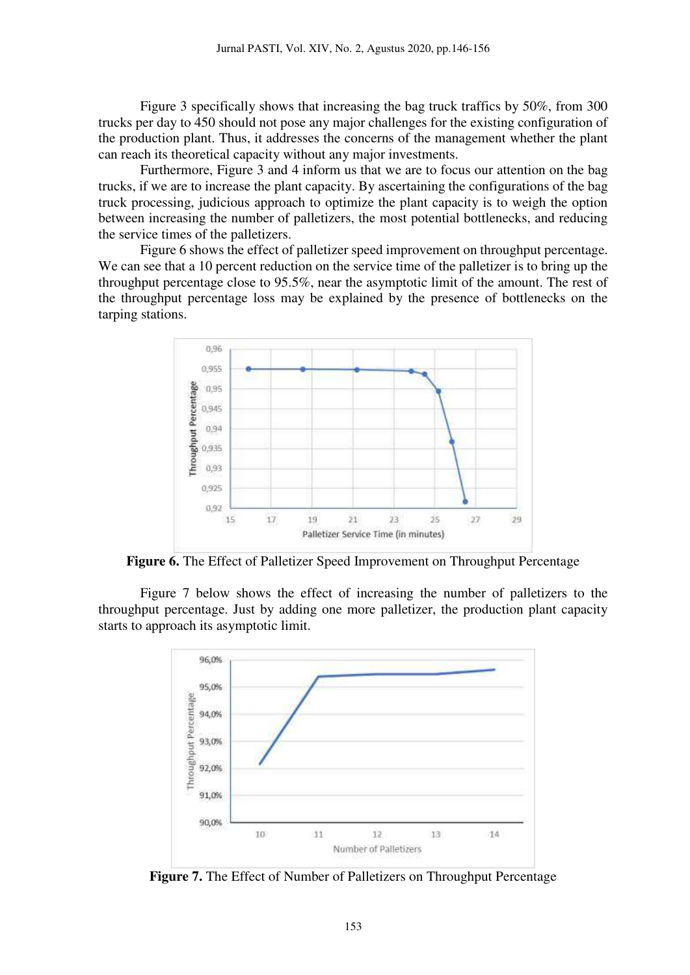Figure 3 specifically shows that increasing the bag truck traffics by 50%, from 300 trucks per day to 450 should not pose any major challenges for the existing configuration of the production plant. Thus, it addresses the concerns of the management whether the plant can reach its theoretical capacity without any major investments.

Furthermore, Figure 3 and 4 inform us that we are to focus our attention on the bag trucks, if we are to increase the plant capacity. By ascertaining the configurations of the bag truck processing, judicious approach to optimize the plant capacity is to weigh the option between increasing the number of palletizers, the most potential bottlenecks, and reducing the service times of the palletizers.

Figure 6 shows the effect of palletizer speed improvement on throughput percentage. We can see that a 10 percent reduction on the service time of the palletizer is to bring up the throughput percentage close to 95.5%, near the asymptotic limit of the amount. The rest of the throughput percentage loss may be explained by the presence of bottlenecks on the tarping stations.



**Figure 6.** The Effect of Palletizer Speed Improvement on Throughput Percentage

Figure 7 below shows the effect of increasing the number of palletizers to the throughput percentage. Just by adding one more palletizer, the production plant capacity starts to approach its asymptotic limit.



**Figure 7.** The Effect of Number of Palletizers on Throughput Percentage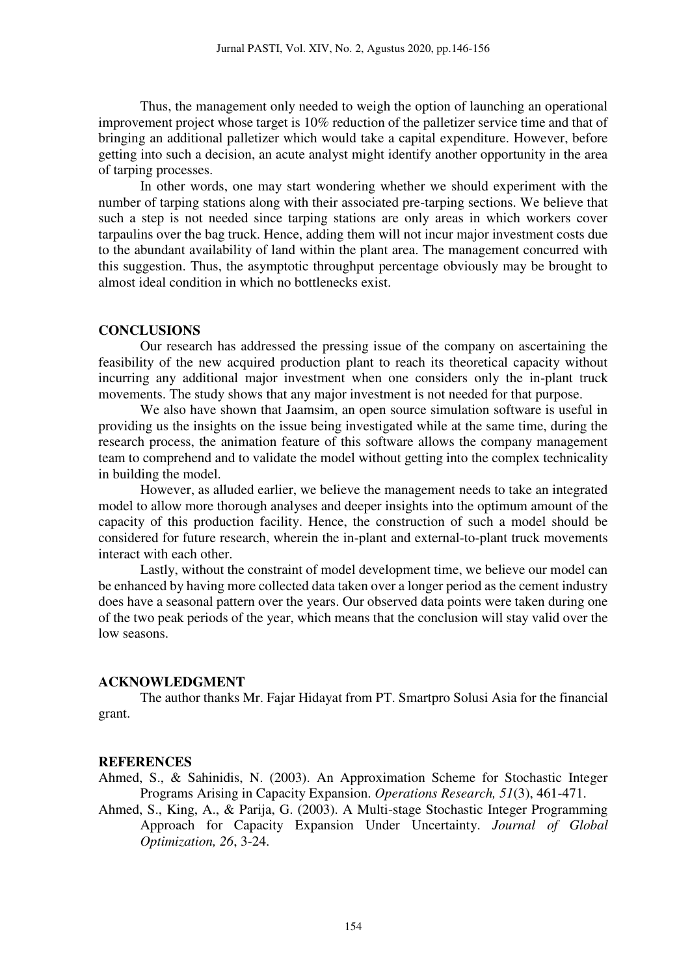Thus, the management only needed to weigh the option of launching an operational improvement project whose target is 10% reduction of the palletizer service time and that of bringing an additional palletizer which would take a capital expenditure. However, before getting into such a decision, an acute analyst might identify another opportunity in the area of tarping processes.

 In other words, one may start wondering whether we should experiment with the number of tarping stations along with their associated pre-tarping sections. We believe that such a step is not needed since tarping stations are only areas in which workers cover tarpaulins over the bag truck. Hence, adding them will not incur major investment costs due to the abundant availability of land within the plant area. The management concurred with this suggestion. Thus, the asymptotic throughput percentage obviously may be brought to almost ideal condition in which no bottlenecks exist.

#### **CONCLUSIONS**

Our research has addressed the pressing issue of the company on ascertaining the feasibility of the new acquired production plant to reach its theoretical capacity without incurring any additional major investment when one considers only the in-plant truck movements. The study shows that any major investment is not needed for that purpose.

We also have shown that Jaamsim, an open source simulation software is useful in providing us the insights on the issue being investigated while at the same time, during the research process, the animation feature of this software allows the company management team to comprehend and to validate the model without getting into the complex technicality in building the model.

However, as alluded earlier, we believe the management needs to take an integrated model to allow more thorough analyses and deeper insights into the optimum amount of the capacity of this production facility. Hence, the construction of such a model should be considered for future research, wherein the in-plant and external-to-plant truck movements interact with each other.

Lastly, without the constraint of model development time, we believe our model can be enhanced by having more collected data taken over a longer period as the cement industry does have a seasonal pattern over the years. Our observed data points were taken during one of the two peak periods of the year, which means that the conclusion will stay valid over the low seasons.

### **ACKNOWLEDGMENT**

The author thanks Mr. Fajar Hidayat from PT. Smartpro Solusi Asia for the financial grant.

#### **REFERENCES**

Ahmed, S., & Sahinidis, N. (2003). An Approximation Scheme for Stochastic Integer Programs Arising in Capacity Expansion. *Operations Research, 51*(3), 461-471.

Ahmed, S., King, A., & Parija, G. (2003). A Multi-stage Stochastic Integer Programming Approach for Capacity Expansion Under Uncertainty. *Journal of Global Optimization, 26*, 3-24.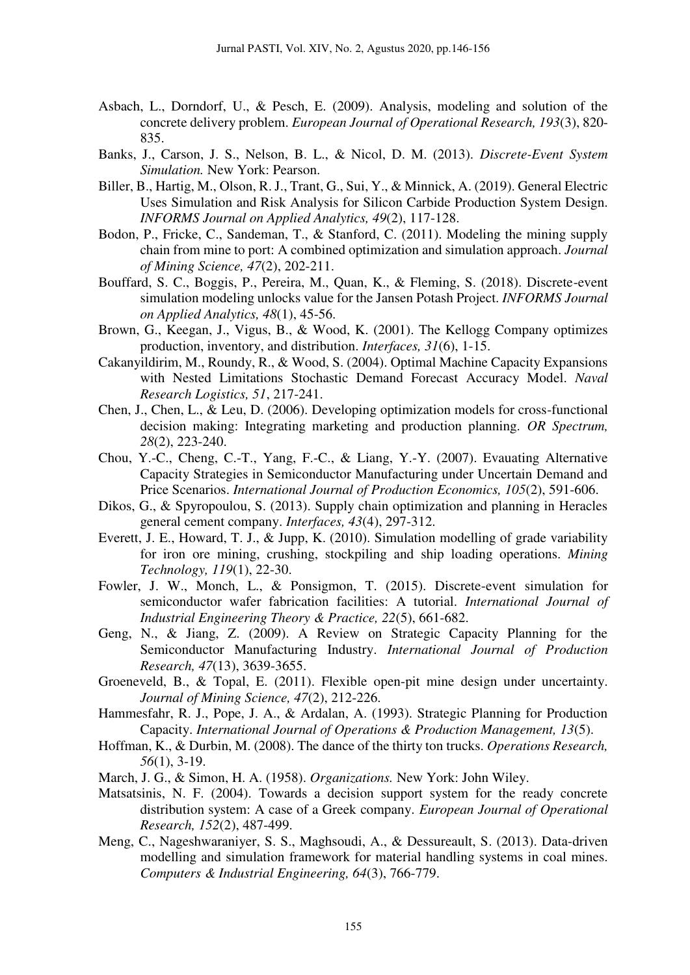- Asbach, L., Dorndorf, U., & Pesch, E. (2009). Analysis, modeling and solution of the concrete delivery problem. *European Journal of Operational Research, 193*(3), 820- 835.
- Banks, J., Carson, J. S., Nelson, B. L., & Nicol, D. M. (2013). *Discrete-Event System Simulation.* New York: Pearson.
- Biller, B., Hartig, M., Olson, R. J., Trant, G., Sui, Y., & Minnick, A. (2019). General Electric Uses Simulation and Risk Analysis for Silicon Carbide Production System Design. *INFORMS Journal on Applied Analytics, 49*(2), 117-128.
- Bodon, P., Fricke, C., Sandeman, T., & Stanford, C. (2011). Modeling the mining supply chain from mine to port: A combined optimization and simulation approach. *Journal of Mining Science, 47*(2), 202-211.
- Bouffard, S. C., Boggis, P., Pereira, M., Quan, K., & Fleming, S. (2018). Discrete-event simulation modeling unlocks value for the Jansen Potash Project. *INFORMS Journal on Applied Analytics, 48*(1), 45-56.
- Brown, G., Keegan, J., Vigus, B., & Wood, K. (2001). The Kellogg Company optimizes production, inventory, and distribution. *Interfaces, 31*(6), 1-15.
- Cakanyildirim, M., Roundy, R., & Wood, S. (2004). Optimal Machine Capacity Expansions with Nested Limitations Stochastic Demand Forecast Accuracy Model. *Naval Research Logistics, 51*, 217-241.
- Chen, J., Chen, L., & Leu, D. (2006). Developing optimization models for cross-functional decision making: Integrating marketing and production planning. *OR Spectrum, 28*(2), 223-240.
- Chou, Y.-C., Cheng, C.-T., Yang, F.-C., & Liang, Y.-Y. (2007). Evauating Alternative Capacity Strategies in Semiconductor Manufacturing under Uncertain Demand and Price Scenarios. *International Journal of Production Economics, 105*(2), 591-606.
- Dikos, G., & Spyropoulou, S. (2013). Supply chain optimization and planning in Heracles general cement company. *Interfaces, 43*(4), 297-312.
- Everett, J. E., Howard, T. J., & Jupp, K. (2010). Simulation modelling of grade variability for iron ore mining, crushing, stockpiling and ship loading operations. *Mining Technology, 119*(1), 22-30.
- Fowler, J. W., Monch, L., & Ponsigmon, T. (2015). Discrete-event simulation for semiconductor wafer fabrication facilities: A tutorial. *International Journal of Industrial Engineering Theory & Practice, 22*(5), 661-682.
- Geng, N., & Jiang, Z. (2009). A Review on Strategic Capacity Planning for the Semiconductor Manufacturing Industry. *International Journal of Production Research, 47*(13), 3639-3655.
- Groeneveld, B., & Topal, E. (2011). Flexible open-pit mine design under uncertainty. *Journal of Mining Science, 47*(2), 212-226.
- Hammesfahr, R. J., Pope, J. A., & Ardalan, A. (1993). Strategic Planning for Production Capacity. *International Journal of Operations & Production Management, 13*(5).
- Hoffman, K., & Durbin, M. (2008). The dance of the thirty ton trucks. *Operations Research, 56*(1), 3-19.
- March, J. G., & Simon, H. A. (1958). *Organizations.* New York: John Wiley.
- Matsatsinis, N. F. (2004). Towards a decision support system for the ready concrete distribution system: A case of a Greek company. *European Journal of Operational Research, 152*(2), 487-499.
- Meng, C., Nageshwaraniyer, S. S., Maghsoudi, A., & Dessureault, S. (2013). Data-driven modelling and simulation framework for material handling systems in coal mines. *Computers & Industrial Engineering, 64*(3), 766-779.